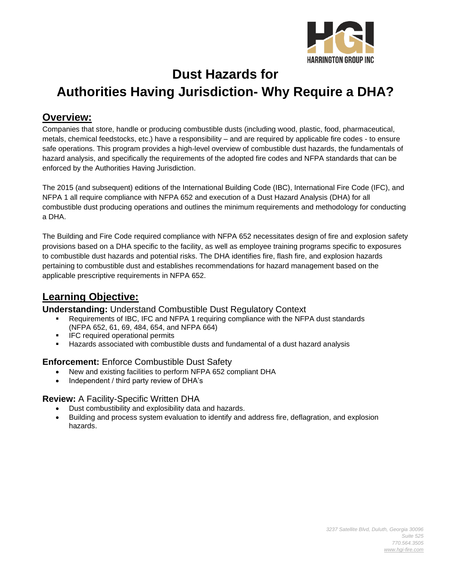

# **Dust Hazards for Authorities Having Jurisdiction- Why Require a DHA?**

## **Overview:**

Companies that store, handle or producing combustible dusts (including wood, plastic, food, pharmaceutical, metals, chemical feedstocks, etc.) have a responsibility – and are required by applicable fire codes - to ensure safe operations. This program provides a high-level overview of combustible dust hazards, the fundamentals of hazard analysis, and specifically the requirements of the adopted fire codes and NFPA standards that can be enforced by the Authorities Having Jurisdiction.

The 2015 (and subsequent) editions of the International Building Code (IBC), International Fire Code (IFC), and NFPA 1 all require compliance with NFPA 652 and execution of a Dust Hazard Analysis (DHA) for all combustible dust producing operations and outlines the minimum requirements and methodology for conducting a DHA.

The Building and Fire Code required compliance with NFPA 652 necessitates design of fire and explosion safety provisions based on a DHA specific to the facility, as well as employee training programs specific to exposures to combustible dust hazards and potential risks. The DHA identifies fire, flash fire, and explosion hazards pertaining to combustible dust and establishes recommendations for hazard management based on the applicable prescriptive requirements in NFPA 652.

# **Learning Objective:**

#### **Understanding:** Understand Combustible Dust Regulatory Context

- Requirements of IBC, IFC and NFPA 1 requiring compliance with the NFPA dust standards (NFPA 652, 61, 69, 484, 654, and NFPA 664)
- **•** IFC required operational permits
- Hazards associated with combustible dusts and fundamental of a dust hazard analysis

### **Enforcement:** Enforce Combustible Dust Safety

- New and existing facilities to perform NFPA 652 compliant DHA
- Independent / third party review of DHA's

#### **Review:** A Facility-Specific Written DHA

- Dust combustibility and explosibility data and hazards.
- Building and process system evaluation to identify and address fire, deflagration, and explosion hazards.